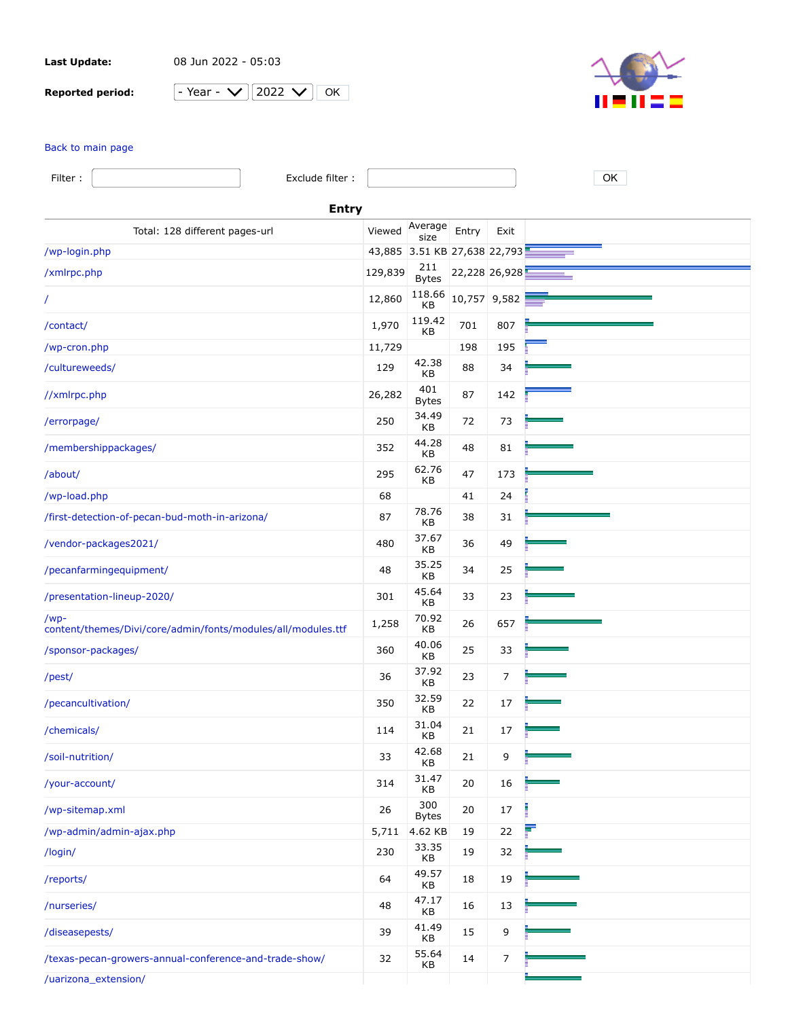**Last Update:** 08 Jun 2022 - 05:03

**Reported period:**  $\boxed{-Y}$ 

|  | Y. |  | ככו |  | ĸ |
|--|----|--|-----|--|---|
|--|----|--|-----|--|---|



## [Back to main page](https://a2plvcpnl382807.prod.iad2.secureserver.net:2083/cpsess3275439984/awstats.pl?month=all&year=2022&config=arizonapecan.com&lang=en&ssl=1&framename=mainright)

| Filter:<br>Exclude filter :                                          |              |                              |              |               | OK |  |
|----------------------------------------------------------------------|--------------|------------------------------|--------------|---------------|----|--|
|                                                                      | <b>Entry</b> |                              |              |               |    |  |
| Total: 128 different pages-url                                       | Viewed       | Average<br>size              | Entry        | Exit          |    |  |
| /wp-login.php                                                        |              | 43,885 3.51 KB 27,638 22,793 |              |               |    |  |
| /xmlrpc.php                                                          | 129,839      | 211<br><b>Bytes</b>          |              | 22,228 26,928 |    |  |
| T                                                                    | 12,860       | 118.66<br>KB                 | 10,757 9,582 |               |    |  |
| /contact/                                                            | 1,970        | 119.42<br>КB                 | 701          | 807           |    |  |
| /wp-cron.php                                                         | 11,729       |                              | 198          | 195           |    |  |
| /cultureweeds/                                                       | 129          | 42.38<br>КB                  | 88           | 34            |    |  |
| //xmlrpc.php                                                         | 26,282       | 401<br><b>Bytes</b>          | 87           | 142           |    |  |
| /errorpage/                                                          | 250          | 34.49<br>KB                  | 72           | 73            |    |  |
| /membershippackages/                                                 | 352          | 44.28<br>КB                  | 48           | 81            |    |  |
| /about/                                                              | 295          | 62.76<br>KB                  | 47           | 173           |    |  |
| /wp-load.php                                                         | 68           |                              | 41           | 24            |    |  |
| /first-detection-of-pecan-bud-moth-in-arizona/                       | 87           | 78.76<br>КB                  | 38           | 31            |    |  |
| /vendor-packages2021/                                                | 480          | 37.67<br>KB                  | 36           | 49            |    |  |
| /pecanfarmingequipment/                                              | 48           | 35.25<br>KB                  | 34           | 25            |    |  |
| /presentation-lineup-2020/                                           | 301          | 45.64<br>КB                  | 33           | 23            |    |  |
| /wp-<br>content/themes/Divi/core/admin/fonts/modules/all/modules.ttf | 1,258        | 70.92<br>КB                  | 26           | 657           |    |  |
| /sponsor-packages/                                                   | 360          | 40.06<br>КB                  | 25           | 33            |    |  |
| /pest/                                                               | 36           | 37.92<br>KB                  | 23           | 7             |    |  |
| /pecancultivation/                                                   | 350          | 32.59<br>KВ                  | 22           | 17            |    |  |
| /chemicals/                                                          | 114          | 31.04<br>KВ                  | 21           | 17            |    |  |
| /soil-nutrition/                                                     | 33           | 42.68<br>KB                  | 21           | 9             |    |  |
| /your-account/                                                       | 314          | 31.47<br>KB                  | 20           | 16            |    |  |
| /wp-sitemap.xml                                                      | 26           | 300<br><b>Bytes</b>          | 20           | 17            |    |  |
| /wp-admin/admin-ajax.php                                             | 5,711        | 4.62 KB                      | 19           | 22            |    |  |
| /login/                                                              | 230          | 33.35<br>KB                  | 19           | 32            |    |  |
| /reports/                                                            | 64           | 49.57<br>KB                  | 18           | 19            |    |  |
| /nurseries/                                                          | 48           | 47.17<br>KB                  | 16           | 13            |    |  |
| /diseasepests/                                                       | 39           | 41.49<br>КB                  | 15           | 9             |    |  |
| /texas-pecan-growers-annual-conference-and-trade-show/               | 32           | 55.64<br>КB                  | 14           | 7             |    |  |
| /uarizona_extension/                                                 |              |                              |              |               |    |  |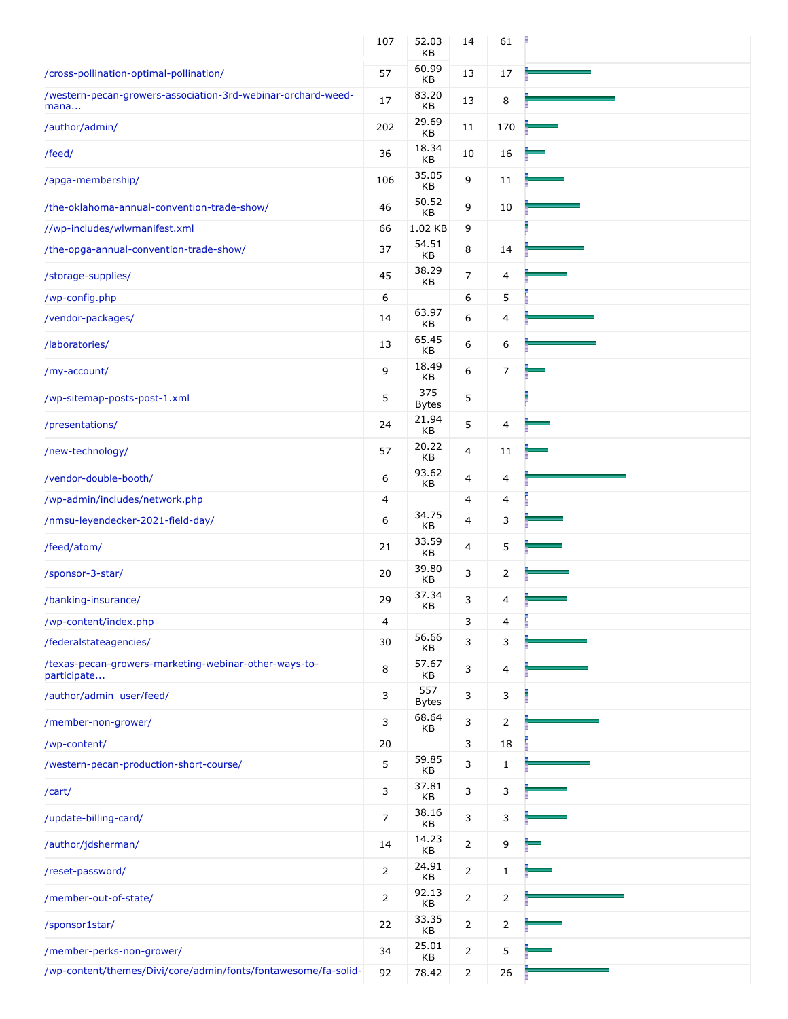|                                                                      | 107            | 52.03<br>KВ         | 14             | 61             |  |
|----------------------------------------------------------------------|----------------|---------------------|----------------|----------------|--|
| /cross-pollination-optimal-pollination/                              | 57             | 60.99<br>KB         | 13             | 17             |  |
| /western-pecan-growers-association-3rd-webinar-orchard-weed-<br>mana | 17             | 83.20<br>KB         | 13             | 8              |  |
| /author/admin/                                                       | 202            | 29.69<br>KB         | 11             | 170            |  |
| /feed/                                                               | 36             | 18.34<br>КB         | 10             | 16             |  |
| /apga-membership/                                                    | 106            | 35.05<br>KB         | 9              | 11             |  |
| /the-oklahoma-annual-convention-trade-show/                          | 46             | 50.52<br>КB         | 9              | 10             |  |
| //wp-includes/wlwmanifest.xml                                        | 66             | 1.02 KB             | 9              |                |  |
| /the-opga-annual-convention-trade-show/                              | 37             | 54.51<br>KB         | 8              | 14             |  |
| /storage-supplies/                                                   | 45             | 38.29<br>КB         | $\overline{7}$ | 4              |  |
| /wp-config.php                                                       | 6              |                     | 6              | 5              |  |
| /vendor-packages/                                                    | 14             | 63.97<br>KB         | 6              | 4              |  |
| /laboratories/                                                       | 13             | 65.45<br>KВ         | 6              | 6              |  |
| /my-account/                                                         | 9              | 18.49<br>KB         | 6              | 7              |  |
| /wp-sitemap-posts-post-1.xml                                         | 5              | 375<br><b>Bytes</b> | 5              |                |  |
| /presentations/                                                      | 24             | 21.94<br>KB         | 5              | 4              |  |
| /new-technology/                                                     | 57             | 20.22<br><b>KB</b>  | 4              | 11             |  |
| /vendor-double-booth/                                                | 6              | 93.62<br>КB         | 4              | 4              |  |
| /wp-admin/includes/network.php                                       | 4              |                     | 4              | 4              |  |
| /nmsu-leyendecker-2021-field-day/                                    | 6              | 34.75<br>КB         | 4              | 3              |  |
| /feed/atom/                                                          | 21             | 33.59<br>KB         | 4              | 5              |  |
| /sponsor-3-star/                                                     | 20             | 39.80<br>KB         | 3              | 2              |  |
| /banking-insurance/                                                  | 29             | 37.34<br>KB         | 3              | 4              |  |
| /wp-content/index.php                                                | 4              |                     | 3              | 4              |  |
| /federalstateagencies/                                               | 30             | 56.66<br>КB         | 3              | 3              |  |
| /texas-pecan-growers-marketing-webinar-other-ways-to-<br>participate | 8              | 57.67<br>KB         | 3              | 4              |  |
| /author/admin_user/feed/                                             | 3              | 557<br><b>Bytes</b> | 3              | 3              |  |
| /member-non-grower/                                                  | 3              | 68.64<br>KВ         | 3              | $\overline{2}$ |  |
| /wp-content/                                                         | 20             |                     | 3              | 18             |  |
| /western-pecan-production-short-course/                              | 5              | 59.85<br>КB         | 3              | $\mathbf{1}$   |  |
| /cart/                                                               | 3              | 37.81<br>KB         | 3              | 3              |  |
| /update-billing-card/                                                | 7              | 38.16<br>KB         | 3              | 3              |  |
| /author/jdsherman/                                                   | 14             | 14.23<br>КB         | $\overline{2}$ | 9              |  |
| /reset-password/                                                     | 2              | 24.91<br>KB         | 2              | 1              |  |
| /member-out-of-state/                                                | $\overline{2}$ | 92.13<br>KB         | $\overline{2}$ | 2              |  |
| /sponsor1star/                                                       | 22             | 33.35<br>КB         | $\overline{2}$ | $\overline{2}$ |  |
| /member-perks-non-grower/                                            | 34             | 25.01<br>КB         | $\overline{2}$ | 5              |  |
| /wp-content/themes/Divi/core/admin/fonts/fontawesome/fa-solid-       | 92             | 78.42               | 2              | 26             |  |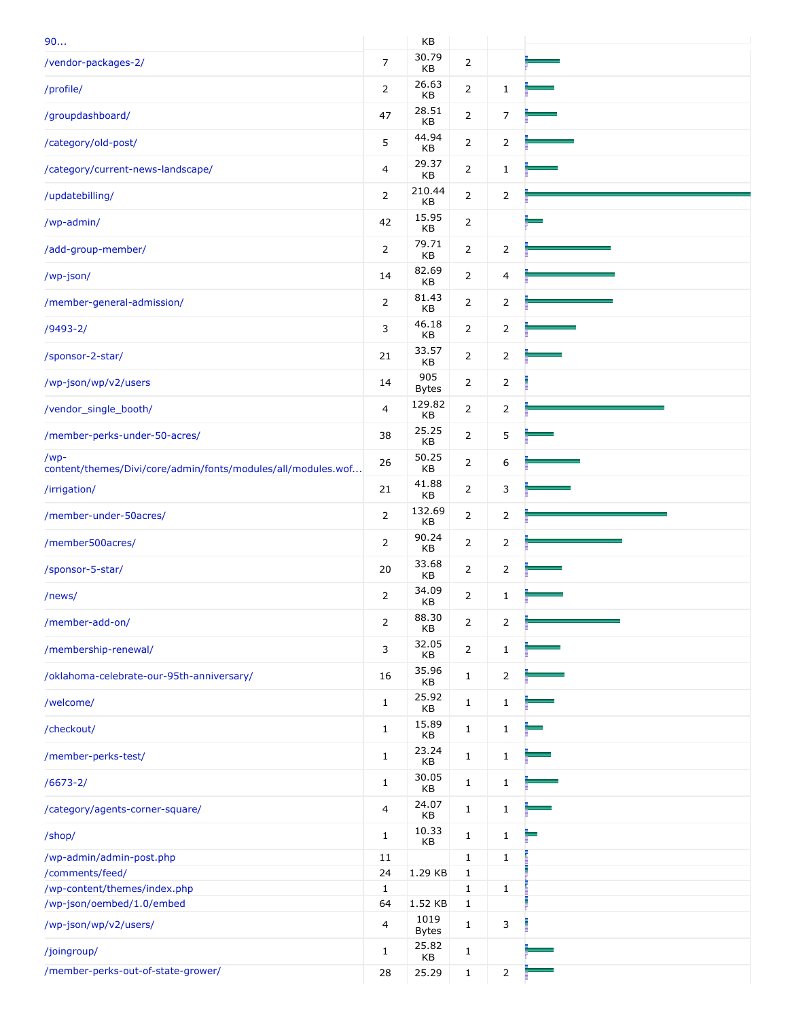| 90                                                                   |                | KB                   |                |                |  |
|----------------------------------------------------------------------|----------------|----------------------|----------------|----------------|--|
| /vendor-packages-2/                                                  | $\overline{7}$ | 30.79<br>KB          | $\overline{2}$ |                |  |
| /profile/                                                            | $\overline{2}$ | 26.63<br>КB          | $\overline{2}$ | $\mathbf{1}$   |  |
| /groupdashboard/                                                     | 47             | 28.51<br>KB          | $\overline{2}$ | 7              |  |
| /category/old-post/                                                  | 5              | 44.94<br>КB          | $\overline{2}$ | $\overline{2}$ |  |
| /category/current-news-landscape/                                    | 4              | 29.37<br>KB          | $\overline{2}$ | $\mathbf{1}$   |  |
| /updatebilling/                                                      | $\overline{2}$ | 210.44<br>KB         | $\overline{2}$ | $\overline{2}$ |  |
| /wp-admin/                                                           | 42             | 15.95<br>КB          | 2              |                |  |
| /add-group-member/                                                   | $\overline{2}$ | 79.71<br>КB          | $\overline{2}$ | 2              |  |
| /wp-json/                                                            | 14             | 82.69<br>КB          | $\overline{2}$ | 4              |  |
| /member-general-admission/                                           | $\overline{2}$ | 81.43<br>KB          | $\overline{2}$ | $\overline{2}$ |  |
| $/9493 - 2/$                                                         | 3              | 46.18<br>KB          | $\overline{2}$ | 2              |  |
| /sponsor-2-star/                                                     | 21             | 33.57<br>KB          | 2              | 2              |  |
| /wp-json/wp/v2/users                                                 | 14             | 905<br><b>Bytes</b>  | $\overline{2}$ | 2              |  |
| /vendor_single_booth/                                                | 4              | 129.82<br>KB         | $\overline{2}$ | $\overline{2}$ |  |
| /member-perks-under-50-acres/                                        | 38             | 25.25<br>KB          | $\overline{2}$ | 5              |  |
| /wp-<br>content/themes/Divi/core/admin/fonts/modules/all/modules.wof | 26             | 50.25<br>KB          | $\overline{2}$ | 6              |  |
| /irrigation/                                                         | 21             | 41.88<br>КB          | $\overline{2}$ | 3              |  |
| /member-under-50acres/                                               | $\overline{2}$ | 132.69<br>КB         | $\overline{2}$ | $\overline{2}$ |  |
| /member500acres/                                                     | $\overline{2}$ | 90.24<br>KB          | $\overline{2}$ | 2              |  |
| /sponsor-5-star/                                                     | 20             | 33.68<br>КB          | $\overline{2}$ | 2              |  |
| /news/                                                               | $\overline{2}$ | 34.09<br>KB          | $\overline{2}$ | 1              |  |
| /member-add-on/                                                      | $\overline{2}$ | 88.30<br>KB          | $\overline{2}$ | $\overline{2}$ |  |
| /membership-renewal/                                                 | 3              | 32.05<br>KB          | $\overline{2}$ | $\mathbf{1}$   |  |
| /oklahoma-celebrate-our-95th-anniversary/                            | 16             | 35.96<br>КB          | $\mathbf{1}$   | $\overline{2}$ |  |
| /welcome/                                                            | $\mathbf{1}$   | 25.92<br>KB          | $\mathbf{1}$   | $\mathbf{1}$   |  |
| /checkout/                                                           | $\mathbf{1}$   | 15.89<br>KB          | $\mathbf{1}$   | $\mathbf{1}$   |  |
| /member-perks-test/                                                  | $\mathbf{1}$   | 23.24<br>KB          | $\mathbf{1}$   | $\mathbf{1}$   |  |
| $/6673 - 2/$                                                         | $\mathbf{1}$   | 30.05<br>KB          | $\mathbf{1}$   | $\mathbf{1}$   |  |
| /category/agents-corner-square/                                      | 4              | 24.07<br>KB          | $\mathbf{1}$   | $\mathbf{1}$   |  |
| /shop/                                                               | $\mathbf{1}$   | 10.33<br>КB          | $\mathbf{1}$   | $\mathbf{1}$   |  |
| /wp-admin/admin-post.php                                             | 11             |                      | $\mathbf{1}$   | $\mathbf{1}$   |  |
| /comments/feed/                                                      | 24             | 1.29 KB              | $\mathbf{1}$   |                |  |
| /wp-content/themes/index.php                                         | $\mathbf{1}$   |                      | $\mathbf{1}$   | $\mathbf{1}$   |  |
| /wp-json/oembed/1.0/embed                                            | 64             | 1.52 KB              | $\mathbf{1}$   |                |  |
|                                                                      |                |                      |                |                |  |
| /wp-json/wp/v2/users/                                                | 4              | 1019<br><b>Bytes</b> | $\mathbf{1}$   | 3              |  |
| /joingroup/                                                          | $\mathbf{1}$   | 25.82<br>KB          | $\mathbf{1}$   |                |  |
| /member-perks-out-of-state-grower/                                   | 28             | 25.29                | $\mathbf{1}$   | $\overline{2}$ |  |